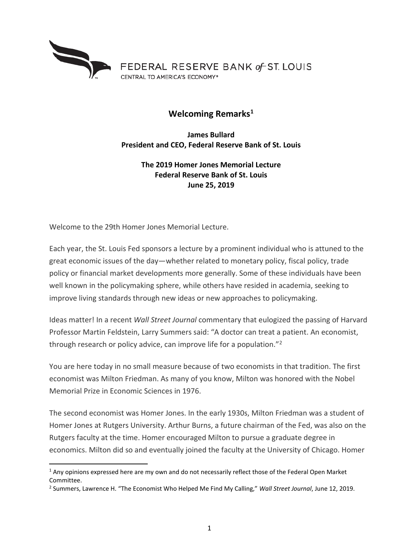

## **Welcoming Remarks[1](#page-0-0)**

**James Bullard President and CEO, Federal Reserve Bank of St. Louis**

## **The 2019 Homer Jones Memorial Lecture Federal Reserve Bank of St. Louis June 25, 2019**

Welcome to the 29th Homer Jones Memorial Lecture.

Each year, the St. Louis Fed sponsors a lecture by a prominent individual who is attuned to the great economic issues of the day—whether related to monetary policy, fiscal policy, trade policy or financial market developments more generally. Some of these individuals have been well known in the policymaking sphere, while others have resided in academia, seeking to improve living standards through new ideas or new approaches to policymaking.

Ideas matter! In a recent *Wall Street Journal* commentary that eulogized the passing of Harvard Professor Martin Feldstein, Larry Summers said: "A doctor can treat a patient. An economist, through research or policy advice, can improve life for a population."[2](#page-0-1)

You are here today in no small measure because of two economists in that tradition. The first economist was Milton Friedman. As many of you know, Milton was honored with the Nobel Memorial Prize in Economic Sciences in 1976.

The second economist was Homer Jones. In the early 1930s, Milton Friedman was a student of Homer Jones at Rutgers University. Arthur Burns, a future chairman of the Fed, was also on the Rutgers faculty at the time. Homer encouraged Milton to pursue a graduate degree in economics. Milton did so and eventually joined the faculty at the University of Chicago. Homer

<span id="page-0-0"></span> $1$  Any opinions expressed here are my own and do not necessarily reflect those of the Federal Open Market Committee.

<span id="page-0-1"></span><sup>2</sup> Summers, Lawrence H. "The Economist Who Helped Me Find My Calling," *Wall Street Journal*, June 12, 2019.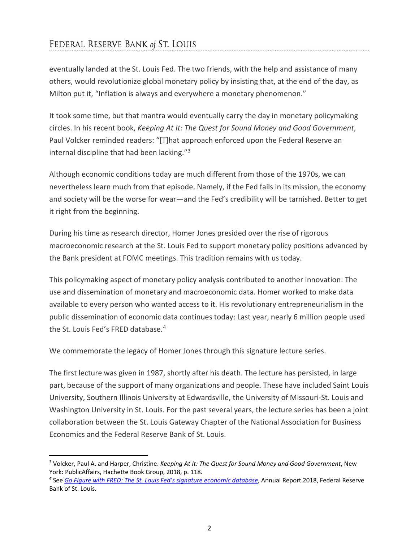## FEDERAL RESERVE BANK of ST. LOUIS

eventually landed at the St. Louis Fed. The two friends, with the help and assistance of many others, would revolutionize global monetary policy by insisting that, at the end of the day, as Milton put it, "Inflation is always and everywhere a monetary phenomenon."

It took some time, but that mantra would eventually carry the day in monetary policymaking circles. In his recent book, *Keeping At It: The Quest for Sound Money and Good Government*, Paul Volcker reminded readers: "[T]hat approach enforced upon the Federal Reserve an internal discipline that had been lacking."[3](#page-1-0)

Although economic conditions today are much different from those of the 1970s, we can nevertheless learn much from that episode. Namely, if the Fed fails in its mission, the economy and society will be the worse for wear—and the Fed's credibility will be tarnished. Better to get it right from the beginning.

During his time as research director, Homer Jones presided over the rise of rigorous macroeconomic research at the St. Louis Fed to support monetary policy positions advanced by the Bank president at FOMC meetings. This tradition remains with us today.

This policymaking aspect of monetary policy analysis contributed to another innovation: The use and dissemination of monetary and macroeconomic data. Homer worked to make data available to every person who wanted access to it. His revolutionary entrepreneurialism in the public dissemination of economic data continues today: Last year, nearly 6 million people used the St. Louis Fed's FRED database.[4](#page-1-1)

We commemorate the legacy of Homer Jones through this signature lecture series.

The first lecture was given in 1987, shortly after his death. The lecture has persisted, in large part, because of the support of many organizations and people. These have included Saint Louis University, Southern Illinois University at Edwardsville, the University of Missouri-St. Louis and Washington University in St. Louis. For the past several years, the lecture series has been a joint collaboration between the St. Louis Gateway Chapter of the National Association for Business Economics and the Federal Reserve Bank of St. Louis.

<span id="page-1-0"></span> <sup>3</sup> Volcker, Paul A. and Harper, Christine. *Keeping At It: The Quest for Sound Money and Good Government*, New York: PublicAffairs, Hachette Book Group, 2018, p. 118.

<span id="page-1-1"></span><sup>4</sup> See *[Go Figure with FRED: The St. Louis Fed's signature economic database](https://www.stlouisfed.org/annual-report/2018)*, Annual Report 2018, Federal Reserve Bank of St. Louis.